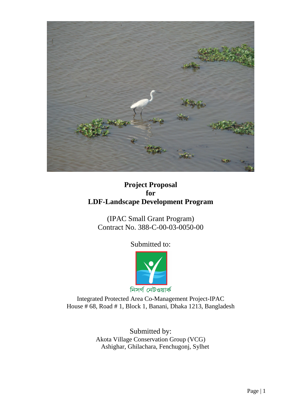

# **Project Proposal for LDF-Landscape Development Program**

(IPAC Small Grant Program) Contract No. 388-C-00-03-0050-00

Submitted to:



Integrated Protected Area Co-Management Project-IPAC House # 68, Road # 1, Block 1, Banani, Dhaka 1213, Bangladesh

> Submitted by: Akota Village Conservation Group (VCG) Ashighar, Ghilachara, Fenchugonj, Sylhet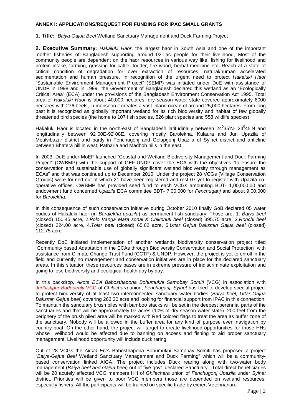#### **ANNEX I: APPLICATIONS/REQUEST FOR FUNDING FOR IPAC SMALL GRANTS**

**1. Title:** Baiya-Gajua Beel Wetland Sanctuary Management and Duck Farming Project

**2. Executive Summary:** Hakaluki Haor, the largest haor in South Asia and one of the important mother fisheries of Bangladesh supporting around 02 lac people for their livelihood, Most of the community people are dependent on the haor resources in various way like, fishing for livelihood and protein intake, farming, grassing for cattle, fodder, fire wood, herbal medicine etc**.** Reach at a state of critical condition of degradation for over extraction of resources, natural/human accelerated sedimentation and human pressure. In recognition of the urgent need to protect Hakaluki Haor "Sustainable Environment Management Project" (SEMP) was initiated under DoE with assistance of UNDP in 1998 and in 1999 the Government of Bangladesh declared this wetland as an "Ecologically Critical Area" (ECA) under the provisions of the Bangladesh Environment Conservation Act 1995. Total area of Hakaluki Haor is about 40,000 hectares, dry season water state covered approximately 6000 hectares with 276 beels, in monsoon it creates a vast inland ocean of around 25,000 hectares. From long past it is recognized as globally important wetland for its rich biodiversity and habitat of few globally threatened bird species (the home to 107 fish species, 526 plant species and 558 wildlife species).

Hakaluki Haor is located in the north-east of Bangladesh latitudinally between 24 $9$ 35'N- 24 $9$ 45'N and longitudinally between 92<sup>0</sup>00E-92<sup>0</sup>08E, covering mostly Barolekha, Kulaura and Juri Upazila of Moulvibazar district and partly in Fenchugonj and Golapgonj Upazila of Sylhet district and anticline between Bhatera hill in west, Patharia and Madhob hills in the east.

In 2003, DoE under MoEF launched "Coastal and Wetland Biodiversity Management and Duck Farming Project" (CWBMP) with the support of GEF-UNDP cover the ECA with the objectives "to ensure the conservation and sustainable use of globally significant wetland biodiversity through management as ECAs" and that was continued up to December 2010. Under the project 28 VCGs (Village Conservation Groups) were formed out of which 21 have been registered and rest 07 yet to register with Upazila cooperative offices. CWBMP has provided seed fund to each VCGs amounting BDT- 1,00,000.00 and endowment fund concerned Upazila ECA committee BDT- 7,00,000 for Fenchuganj and about 9,00,000 for Barolekha.

In this consequence of such conservation initiative during October 2010 finally GoB declared 05 water bodies of Hakaluki haor (in Baralekha upazila) as permanent fish sanctuary. Those are; 1. Baiya beel (closed) 150.45 acre, 2.Polo Vanga Mara sonai & Chikonuti beel (closed) 395.75 acre, 3.Ronchi beel (closed) 224.00 acre, 4.Tolar beel (closed) 65.62 acre, 5.Uttar Gajua Daksmin Gajua beel (closed) 112.75 acre.

Recently DoE initiated implementation of another wetlands biodiversity conservation project titled "Community based Adaptation in the ECAs through Biodiversity Conservation and Social Protection" with assistance from Climate Change Trust Fund (CCTF) & UNDP. However, the project is yet to enroll in the field and currently no management and conservation initiatives are in place for the declared sanctuary areas. In this situation these resources bases are in extreme pressure of indiscriminate exploitation and going to lose biodiversity and ecological health day by day.

In this backdrop, Akota ECA Babosthapona Bohumukhi Samobay Somiti (VCG) in association with Judhistipur-Badedeuly VCG of Ghilachara union, Fenchugani, Sylhet has tried to develop special project to protect biodiversity of at least two interconnected sanctuary water bodies (Baiya beel; Uttar Gaiua Daksmin Gajua beel) covering 263.20 acre and looking for financial support from IPAC in this connection. To maintain the sanctuary brush piles with bamboo stacks will be set in the deepest perennial parts of the sanctuaries and that will be approximately 07 acres (10% of dry season water state). 200 feet from the periphery of the brush piled area will be marked with Red colored flags to treat the area as buffer zone of the sanctuary. Nobody will be allowed in the buffer area for any kind of purpose even navigation by country boat. On the other hand, the project will target to create livelihood opportunities for those HHs whose livelihood would be affected due to banning on access and fishing to aid proper sanctuary management. Livelihood opportunity will include duck raring.

Out of 28 VCGs the Akota ECA Babosthapona Bohumukhi Samobay Somiti has proposed a project "Baiya-Gajua Beel Wetland Sanctuary Management and Duck Farming" which will be a communitybased conservation linked AIGA. The project includes Duck rearing along with two-water body management (Baiya beel and Gajua beel) out of five govt. declared Sanctuary. Total direct beneficiaries will be 20 acutely affected VCG members HH of Ghilachara union of Fenchugonj Upazila under Sylhet district. Priorities will be given to poor VCG members those are depended on wetland resources, especially fishers. All the participants will be trained on specific trade by expert Veterinarian.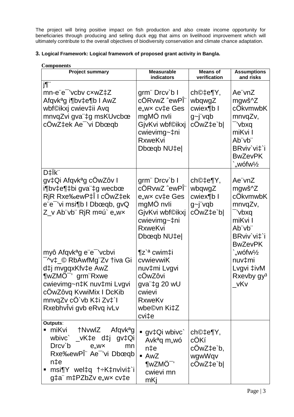The project will bring positive impact on fish production and also create income opportunity for beneficiaries through producing and selling duck egg that aims on livelihood improvement which will ultimately contribute to the overall objectives of biodiversity conservation and climate chance adaptation.

# 3. Logical Framework: Logical framework of proposed grant activity in Bangla.

| <b>Components</b>                                                                                                                                                                                                                                             |                                                                                                                                                 |                                                            |                                                                                                                                |  |  |  |  |  |
|---------------------------------------------------------------------------------------------------------------------------------------------------------------------------------------------------------------------------------------------------------------|-------------------------------------------------------------------------------------------------------------------------------------------------|------------------------------------------------------------|--------------------------------------------------------------------------------------------------------------------------------|--|--|--|--|--|
| <b>Project summary</b>                                                                                                                                                                                                                                        | <b>Measurable</b><br>indicators                                                                                                                 | <b>Means of</b><br>verification                            | <b>Assumptions</b><br>and risks                                                                                                |  |  |  |  |  |
| j¶"<br>mn-e"e" 'vcbv cxwZ‡Z<br>Afqvk <sup>a</sup> g i¶bv‡e¶b I AwZ<br>wbf©ikxj cwiev‡ii Avq<br>mnvqZvi gva"‡g msKUvcbœ<br>cOwZ‡ek Ae <sup>-</sup> 'vi Dbœqb                                                                                                   | grm" Drcv`b I<br>cÖRvwZ ^ewPÎ"<br>e,wx cv‡e Ges<br>mgMO nvli<br>GjvKvi wbf©ikxj<br>cwievimg~‡ni<br><b>RxweKvi</b><br>Dbœqb NU‡e                 | ch©‡e¶Y,<br>wbqwgZ<br>cwiex¶b I<br>$g$ ~j"vqb<br>cOwZ‡e`bl | Ae vnZ<br>mgwš^Z<br>cOkvmwbK<br>mnvqZv,<br>-'vbxq<br>miKvi I<br>Ab"vb"<br>BRviv'vi‡`i<br><b>BwZevPK</b><br>"wófw $\frac{1}{2}$ |  |  |  |  |  |
| D‡Ïk"<br>gv‡Qi Afqvk <sup>a</sup> g cÖwZôv I<br>i¶bv‡e¶‡bi gva"‡g wecbœ<br>RjR Rxe‰ewP‡Î I cÖwZ‡ek<br>e e <sup>-</sup> 'vi msi¶b I Dbœqb, gvQ<br>Z_v Ab¨vb¨ RjR m¤ú` e"w×                                                                                     | grm" Drcv`b I<br>cÖRvwZ ^ewPΨ<br>e, wx cv‡e Ges<br>mgMÖ nvli<br>GjvKvi wbf©ikxj<br>cwievimg~‡ni<br><b>RxweKvi</b><br>Dbœqb NU‡e                 | ch©‡e¶Y,<br>wbqwgZ<br>cwiex¶b I<br>$g$ ~j"vqb<br>cOwZ‡e`bl | Ae"vnZ<br>mgwš^Z<br>cOkvmwbK<br>mnvqZv,<br>- 'vbxq<br>miKvi I<br>Ab"vb"<br>BRviv'vi‡`i<br><b>BwZevPK</b>                       |  |  |  |  |  |
| myô Afqvk <sup>a</sup> g e e <sup>-</sup> 'vcbvi<br><sup>-</sup> ^v‡_© RbAwfMg¨Zv †iva Gi<br>d‡j mvgqxKfv‡e AwZ<br>¶wZMÖ <sup>-</sup> ' grm"Rxwe<br>cwievimg~n‡K nuv‡mi Lvgvi<br>cÖwZôvq KvwiMix I DcKib<br>mnvqZv cO`vb K‡i Zv‡`l<br>RxebhvĨvi gvb eRvq ivLv | ¶z` <sup>a</sup> cwim‡i<br>cvwievwiK<br>nuv‡mi Lvgvi<br>cÔwZôvi<br>gva <sup>"</sup> ‡g 20 wU<br>cwievi<br><b>RxweKv</b><br>wbe©vn Ki‡Z<br>cvi‡e |                                                            | `"wófw½<br>nuv‡mi<br>Lvgvi ‡ivM<br>Rxevby gy <sup>3</sup><br>$\mathsf{v}$ Kv                                                   |  |  |  |  |  |
| Outputs:<br>miKvi †NvwlZ Afqvk <sup>a</sup> g<br>wbivc` _vK‡e d‡j gv‡Qi<br>Drcy`b<br>$e,$ w $\times$<br>mn<br>Rxe‰ewPÎ" Ae <sup>-</sup> 'vi Dbœqb<br>$n \pm e$<br>msi¶Y wel‡q †÷K‡nvìvi‡`i<br>п<br>g‡a" m‡PZbZv e"wx cv‡e                                     | gv‡Qi wbivc`<br>Avk <sup>a</sup> q m <sub>v</sub> wó<br>$n \pm e$<br>$\blacksquare$ AwZ<br>$\P w ZMO^-$ '<br>cwievi mn<br>mKi                   | ch©‡e¶Y,<br>cOKí<br>cOwZ‡e`b,<br>wgwWqv<br>cOwZ‡e`b        |                                                                                                                                |  |  |  |  |  |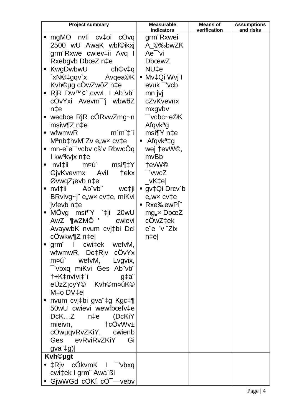| <b>Project summary</b>                   |                   | <b>Measurable</b>             | <b>Means of</b> | <b>Assumptions</b> |
|------------------------------------------|-------------------|-------------------------------|-----------------|--------------------|
|                                          |                   | indicators                    | verification    | and risks          |
| mgMO nvli cv‡oi cOvq                     |                   | grm"Rxwei                     |                 |                    |
| 2500 wU AwaK wbf©ikxj                    |                   | A ©‰bwZK                      |                 |                    |
| grm Rxwe cwiev‡ii Avq I                  |                   | Ae <sup>-</sup> 'vi           |                 |                    |
| Rxebgvb DbœZ n‡e                         |                   | <b>DbœwZ</b>                  |                 |                    |
| ■ KwgDwbwU                               | ch©v‡q            | NU‡e                          |                 |                    |
| `xN©‡gqv`x Avqea©K   ■ Mv‡Qi Wvj I       |                   |                               |                 |                    |
| Kvh©µg cOwZwôZ n‡e                       |                   | evuk vcb                      |                 |                    |
| <b>RiR</b> $Dw^{TM}\phi$ , cvwL   Ab"vb" |                   | mn jvj                        |                 |                    |
| cOvYxi Avevm <sup>-</sup> 'j wbwðZ       |                   | cZvKvevnx                     |                 |                    |
| $n \ddagger e$                           |                   | mxgvbv                        |                 |                    |
| ■ wecbœ RjR cÖRvwZmg~n                   |                   | <sup>−</sup> 'vcbc~e©K        |                 |                    |
| msiw¶Z n‡e                               |                   | Afqvk <sup>a</sup> g          |                 |                    |
| $\blacksquare$ wfwmwR                    | $m'm''\ddagger i$ | msi¶Y n‡e                     |                 |                    |
| Manb‡hvM"Zv e"wx cv‡e                    |                   | <b>A</b> fqvk <sup>a</sup> ‡g |                 |                    |
| ■ mn-e¨e¯'vcbv cš'v RbwcOq               |                   | wej tevW©,                    |                 |                    |
| I kw <sup>3</sup> kvjx n‡e               |                   | mvBb                          |                 |                    |
| nvl‡ii<br>ш                              | m¤ú` msi¶‡Y       | tevW©                         |                 |                    |
| GjvKvevmx Avil                           | †ekx              | -'vwcZ                        |                 |                    |
| ØvwqZjevb n‡e                            |                   | $\lfloor$ vK‡e $\rfloor$      |                 |                    |
| ■ nvl‡ii       Ab¨vb¨        we‡ji       |                   | ■ gv $\ddagger$ Qi Drcv`b     |                 |                    |
| BRvivg~j" e"wx cv‡e, miKvi               |                   | $e$ , w $\times$ cv $\pm e$   |                 |                    |
| jvfevb n‡e                               |                   | ■ Rxe‰ewPl"                   |                 |                    |
| ■ MOvg msi¶Y `‡ji 20wU                   |                   | $mg_{,x}$ DboeZ               |                 |                    |
| AwZ ¶wZMÖ <sup>-</sup> '                 | cwievi            | cOwZ‡ek                       |                 |                    |
| AvaywbK nvum cvj‡bi Dci                  |                   | e"e" 'v "Zix                  |                 |                    |
| cOwkw¶Z n‡e                              |                   | $n$ ‡e                        |                 |                    |
| grm I cwi‡ek wefvM,<br>٠                 |                   |                               |                 |                    |
| wfwmwR, Dc‡Rjv cÖvYx                     |                   |                               |                 |                    |
| m¤ú` wefvM, Lvgvix,                      |                   |                               |                 |                    |
| "'vbxq miKvi Ges Ab"vb"                  |                   |                               |                 |                    |
| t÷K‡nvìvi‡`i g‡a¨                        |                   |                               |                 |                    |
| eÜzZicyY <sup>©</sup> Kvh©m¤úK©          |                   |                               |                 |                    |
| M‡o DV‡el                                |                   |                               |                 |                    |
| nvum cvj‡bi gva¨‡g Kgc‡¶                 |                   |                               |                 |                    |
| 50wU cwievi wewfbcefv‡e                  |                   |                               |                 |                    |
| DcKZ n‡e (DcKiY                          |                   |                               |                 |                    |
|                                          |                   |                               |                 |                    |
| cÖwµqvRvZKiY, cwienb                     |                   |                               |                 |                    |
| Ges evRviRvZKiY Gi                       |                   |                               |                 |                    |
| $gva$ <sup>"</sup> $\downarrow g$ ]      |                   |                               |                 |                    |
| <b>Kvh©ugt</b>                           |                   |                               |                 |                    |
| • $\pm$ Rjv cÖkvmK I <sup>-</sup> 'vbxq  |                   |                               |                 |                    |
| cwi‡ek I grm" Awa`ßi                     |                   |                               |                 |                    |
| • GjwWGd cÖKí cÖ <sup>-</sup> — vebv     |                   |                               |                 |                    |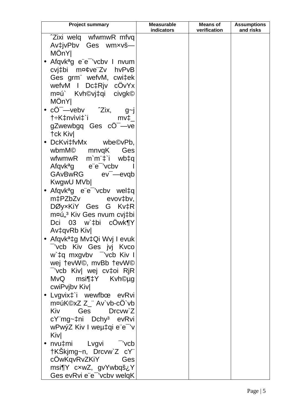| <b>Project summary</b>                                                | <b>Measurable</b><br><b>indicators</b> | <b>Means of</b><br>verification | <b>Assumptions</b><br>and risks |
|-----------------------------------------------------------------------|----------------------------------------|---------------------------------|---------------------------------|
| <sup>2</sup> Zixi welq wfwmwR mfvq                                    |                                        |                                 |                                 |
| Av‡jvPbv Ges wmxvš—                                                   |                                        |                                 |                                 |
| MOnY                                                                  |                                        |                                 |                                 |
|                                                                       |                                        |                                 |                                 |
| • Afqvk <sup>a</sup> g e e <sup>-</sup> 'vcbv I nvum                  |                                        |                                 |                                 |
| cvi‡bi m¤¢ve Zv hvPvB                                                 |                                        |                                 |                                 |
| Ges grm" wefvM, cwi‡ek                                                |                                        |                                 |                                 |
| wefvM I Dc‡Rjv cOvYx                                                  |                                        |                                 |                                 |
| m¤ú` Kvh©vj‡qi civgk©                                                 |                                        |                                 |                                 |
| MÖnY                                                                  |                                        |                                 |                                 |
| • $c\ddot{\mathrm{O}}^{-}$ -veby $\hat{\mathrm{Z}}$ ix,<br>$g_{\sim}$ |                                        |                                 |                                 |
| t÷K‡nvìvi‡`i<br>$mv\ddagger$                                          |                                        |                                 |                                 |
| gZwewbgq Ges cO <sup>-</sup> -ve                                      |                                        |                                 |                                 |
| <b>†ck Kivl</b>                                                       |                                        |                                 |                                 |
| • $DckvifvMx$ wbe©vPb,                                                |                                        |                                 |                                 |
| wbmM© mnvqK<br>Ges                                                    |                                        |                                 |                                 |
| wfwmwR m`m <sup>"</sup> #`i wb#q                                      |                                        |                                 |                                 |
| Afqvk <sup>a</sup> g e e vcbv                                         |                                        |                                 |                                 |
| GAvBwRG ev <sup>-</sup> -evgb                                         |                                        |                                 |                                 |
| KwgwU MVb                                                             |                                        |                                 |                                 |
| • Afqvk <sup>a</sup> g e"e <sup>-</sup> 'vcbv wel‡q                   |                                        |                                 |                                 |
| m‡PZbZv evov‡bv,                                                      |                                        |                                 |                                 |
| DØyxKiY Ges G Kv‡R                                                    |                                        |                                 |                                 |
| m¤ú" <sup>3</sup> Kiv Ges nvum cvj‡bi                                 |                                        |                                 |                                 |
| Dci 03 w`‡bi cOwk¶Y                                                   |                                        |                                 |                                 |
| Av‡qvRb Kiv                                                           |                                        |                                 |                                 |
| • Afqvk <sup>a</sup> ‡g Mv‡Qi Wvj I evuk                              |                                        |                                 |                                 |
| vcb Kiv Ges jvj Kvco                                                  |                                        |                                 |                                 |
| w`‡q mxgvbv vob Kiv I                                                 |                                        |                                 |                                 |
| wej tevW©, mvBb tevW©                                                 |                                        |                                 |                                 |
| vcb Kiv  wej cv‡oi RjR                                                |                                        |                                 |                                 |
| MvQ msi¶‡Y Kvh©µg                                                     |                                        |                                 |                                 |
| cwiPvjbv Kiv                                                          |                                        |                                 |                                 |
| Lvgvix <sup>+</sup> i wewfbœ evRvi<br>$\bullet$                       |                                        |                                 |                                 |
| m¤úK©xZ Z_" Av`vb-cO`vb                                               |                                        |                                 |                                 |
| Kiv Ges Drcvw`Z                                                       |                                        |                                 |                                 |
| cY"mg~‡ni Dchy <sup>3</sup> evRvi                                     |                                        |                                 |                                 |
| wPwýZ Kiv I weµ‡qi e"e" 'v                                            |                                        |                                 |                                 |
| Kivl                                                                  |                                        |                                 |                                 |
| nvu‡mi Lvgvi <sup>-</sup> 'vcb                                        |                                        |                                 |                                 |
| †KSkjmg~n, Drcvw`Z cY"                                                |                                        |                                 |                                 |
| cOwKqvRvZKiY Ges                                                      |                                        |                                 |                                 |
| msi¶Y cxwZ, gvYwbqš¿Y                                                 |                                        |                                 |                                 |
| Ges evRvi e"e" 'vcbv welqK                                            |                                        |                                 |                                 |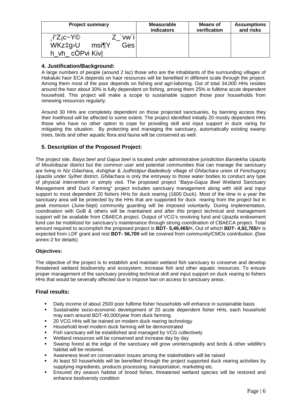| <b>Project summary</b>                                                                               | <b>Measurable</b> | <b>Means of</b> | <b>Assumptions</b> |
|------------------------------------------------------------------------------------------------------|-------------------|-----------------|--------------------|
|                                                                                                      | indicators        | verification    | and risks          |
| "vw`i<br>$i^{\prime\prime}Z$ i $c$ ~Y $\odot$<br>WKz‡g <sup>D</sup> U<br>Gesl<br>msi¶Y<br>cÖPvi Kivl |                   |                 |                    |

## **4. Justification/Background:**

A large numbers of people (around 2 lac) those who are the inhabitants of the surrounding villages of Hakaluki haor ECA depends on haor resources will be benefited in different scale through the project. Among them most of the poor depends on fishing and agri-laboring. Out of total 34,000 HHs resides around the haor about 30% is fully dependent on fishing, among them 25% is fulltime acute dependent household. This project will make a scope to sustainable support those poor households from renewing resources regularly.

Around 30 HHs are completely dependent on those projected sanctuaries, by banning access they their livelihood will be affected to some extent. The project identified initially 20 mostly dependent HHs those who have no other option to cope for providing skill and input support in duck raring for mitigating the situation. By protecting and managing the sanctuary, automatically existing swamp trees, birds and other aquatic flora and fauna will be conserved as well.

# **5. Description of the Proposed Project:**

The project site, Baiya beel and Gajua beel is located under administrative jurisdiction Barolekha Upazila of Moulvibazar district but the common user and potential communities that can manage the sanctuary are living in Niz Gilachara, Ashighar & Judhistipur-Badedeuly village of Ghilachara union of Fenchugonj Upazila under Sylhet district. Ghilachara is only the entryway to those water bodies to conduct any type of physical intervention or simply visit. The proposed project "Baiya-Gajua Beel Wetland Sanctuary Management and Duck Farming" project includes sanctuary management along with skill and input support to most dependent 20 fishers HHs for duck rearing (1600 Duck). Most of the time in a year the sanctuary area will be protected by the HHs that are supported for duck rearing from the project but in peak monsoon (June-Sept) community guarding will be imposed voluntarily. During implementation, coordination with GoB & others will be maintained and after this project technical and management support will be available from CBAECA project. Output of VCG's revolving fund and Upazila endowment fund can be mobilized for sanctuary's maintenance through strong coordination of CBAECA project. Total amount required to accomplish the proposed project is **BDT- 5,49,465/=.** Out of which **BDT- 4,92,765/=** is expected from LDF grant and rest **BDT- 56,700** will be covered from community/CMOs contribution. **(**See annex-2 for details)

## **Objectives:**

The objective of the project is to establish and maintain wetland fish sanctuary to conserve and develop threatened wetland biodiversity and ecosystem, increase fish and other aquatic resources. To ensure proper management of the sanctuary providing technical skill and input support on duck rearing to fishers HHs that would be severally affected due to impose ban on access to sanctuary areas.

## **Final results:**

- Daily income of about 2500 poor fulltime fisher households will enhance in sustainable basis
- Sustainable socio-economic development of 20 acute dependent fisher HHs, each household may earn around BDT-40,000/year from duck farming.
- 20 VCG HHs will be trained on modern duck rearing technology
- Household level modern duck farming will be demonstrated
- Fish sanctuary will be established and managed by VCG collectively
- Wetland resources will be conserved and increase day by day
- Swamp forest at the edge of the sanctuary will grow uninterruptedly and birds & other wildlife's habitat will be restored.
- Awareness level on conservation issues among the stakeholders will be raised
- At least 50 households will be benefited through the project supported duck rearing activities by supplying ingredients, products processing, transportation, marketing etc.
- Ensured dry season habitat of brood fishes, threatened wetland species will be restored and enhance biodiversity condition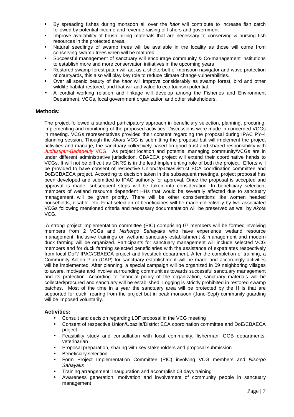- By spreading fishes during monsoon all over the haor will contribute to increase fish catch followed by potential income and revenue raising of fishers and government
- **IMPROVE AVAILADILITY OF brush pilling materials that are necessary to conserving & nursing fish** resources in the protected areas.
- Natural seedlings of swamp trees will be available in the locality as those will come from conserving swamp trees when will be matured
- Successful management of sanctuary will encourage community & Co-management institutions to establish more and more conservation initiatives in the upcoming years
- Restored swamp forest patch will act as a shelterbelt of monsoon navigator and wave protection of courtyards, this also will play key role to reduce climate change vulnerabilities.
- Over all scenic beauty of the haor will improve considerably as swamp forest, bird and other wildlife habitat restored, and that will add value to eco tourism potential.
- A cordial working relation and linkage will develop among the Fisheries and Environment Department, VCGs, local government organization and other stakeholders.

#### **Methods:**

The project followed a standard participatory approach in beneficiary selection, planning, procuring, implementing and monitoring of the proposed activities. Discussions were made in concerned VCGs in meeting. VCGs representatives provided their consent regarding the proposal during IPAC PY-4 planning session. Though the Akota VCG is submitting the proposal but will implement the project activities and manage, the sanctuary collectively based on good trust and shared responsibility with Judhistipur-Badedeuly VCG. As project location and potential managing community/VCGs are in under different administrative jurisdiction, CBAECA project will extend their coordinative hands to VCGs. It will not be difficult as CNRS is in the lead implementing role of both the project. Efforts will be provided to have consent of respective Union/Upazila/District ECA coordination committee and DoE/CBAECA project. According to decision taken in the subsequent meetings, project proposal has been developed and submitted to IPAC authority for approval. Once the proposal is accepted and approval is made, subsequent steps will be taken into consideration. In beneficiary selection, members of wetland resource dependent HHs that would be severally affected due to sanctuary management will be given priority. There will be other considerations like women headed households, disable, etc. Final selection of beneficiaries will be made collectively by two associated VCGs following mentioned criteria and necessary documentation will be preserved as well by Akota VCG.

 A strong project implementation committee (PIC) comprising 07 members will be formed involving members from 2 VCGs and Nishorgo Sahayaks who have experience wetland resource management. Inclusive trainings on wetland sanctuary establishment & management and modern duck farming will be organized. Participants for sanctuary management will include selected VCG members and for duck farming selected beneficiaries with the assistance of expatriates respectively from local DoF/ IPAC/CBAECA project and livestock department. After the completion of training, a Community Action Plan (CAP) for sanctuary establishment will be made and accordingly activities will be implemented. After planning, a special campaign will be organized in 09 neighboring villages to aware, motivate and involve surrounding communities towards successful sanctuary management and its protection. According to financial policy of the organization, sanctuary materials will be collected/procured and sanctuary will be established. Logging is strictly prohibited in restored swamp patches. Most of the time in a year the sanctuary area will be protected by the HHs that are supported for duck rearing from the project but in peak monsoon (June-Sept) community guarding will be imposed voluntarily.

#### **Activities:**

- Consult and decision regarding LDF proposal in the VCG meeting
- Consent of respective Union/Upazila/District ECA coordination committee and DoE/CBAECA project
- Feasibility study and consultation with local community, fisherman, GOB departments, veterinarian
- Proposal preparation, sharing with key stakeholders and proposal submission
- **Beneficiary selection**
- Form Project Implementation Committee (PIC) involving VCG members and Nisorgo **Sahavaks**
- Training arrangement; Inauguration and accomplish 03 days training
- Awareness generation, motivation and involvement of community people in sanctuary management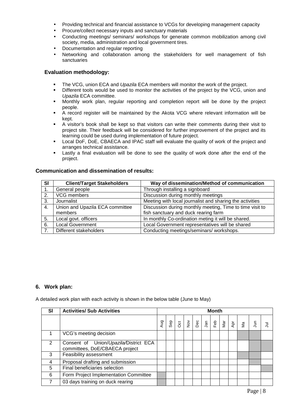- Providing technical and financial assistance to VCGs for developing management capacity
- Procure/collect necessary inputs and sanctuary materials
- Conducting meetings/ seminars/ workshops for generate common mobilization among civil society, media, administration and local government tires.
- Documentation and regular reporting
- Networking and collaboration among the stakeholders for well management of fish sanctuaries

## **Evaluation methodology:**

- The VCG, union ECA and Upazila ECA members will monitor the work of the project.
- Different tools would be used to monitor the activities of the project by the VCG, union and Upazila ECA committee.
- Monthly work plan, regular reporting and completion report will be done by the project people.
- A record register will be maintained by the Akota VCG where relevant information will be kept.
- A visitor's book shall be kept so that visitors can write their comments during their visit to project site. Their feedback will be considered for further improvement of the project and its learning could be used during implementation of future project.
- Local DoF, DoE, CBAECA and IPAC staff will evaluate the quality of work of the project and arranges technical assistance.
- Lastly a final evaluation will be done to see the quality of work done after the end of the project.

## **Communication and dissemination of results:**

| <b>SI</b> | <b>Client/Target Stakeholders</b> | Way of dissemination/Method of communication             |
|-----------|-----------------------------------|----------------------------------------------------------|
|           | General people                    | Through installing a signboard                           |
| 2.        | VCG members                       | Discussion during monthly meetings                       |
| 3.        | Journalist                        | Meeting with local journalist and sharing the activities |
| 4.        | Union and Upazila ECA committee   | Discussion during monthly meeting, Time to time visit to |
|           | members                           | fish sanctuary and duck rearing farm                     |
| 5.        | Local govt. officers              | In monthly Co-ordination meting it will be shared.       |
| 6.        | <b>Local Government</b>           | Local Government representatives will be shared          |
| 7.        | Different stakeholders            | Conducting meetings/seminars/ workshops.                 |

#### **6. Work plan:**

A detailed work plan with each activity is shown in the below table (June to May)

| <b>SI</b> | <b>Activities/ Sub Activities</b>                                       | <b>Month</b> |  |  |  |  |  |  |  |                                                                                                                                                                                               |   |
|-----------|-------------------------------------------------------------------------|--------------|--|--|--|--|--|--|--|-----------------------------------------------------------------------------------------------------------------------------------------------------------------------------------------------|---|
|           |                                                                         | gny          |  |  |  |  |  |  |  | $\frac{1}{8}$   $\frac{1}{8}$   $\frac{1}{8}$   $\frac{1}{8}$   $\frac{1}{8}$   $\frac{1}{8}$   $\frac{1}{8}$   $\frac{1}{8}$   $\frac{1}{8}$   $\frac{1}{5}$   $\frac{1}{5}$   $\frac{1}{5}$ | Ξ |
|           | VCG's meeting decision                                                  |              |  |  |  |  |  |  |  |                                                                                                                                                                                               |   |
| 2         | Consent of Union/Upazila/District ECA<br>committees, DoE/CBAECA project |              |  |  |  |  |  |  |  |                                                                                                                                                                                               |   |
| 3         | Feasibility assessment                                                  |              |  |  |  |  |  |  |  |                                                                                                                                                                                               |   |
| 4         | Proposal drafting and submission                                        |              |  |  |  |  |  |  |  |                                                                                                                                                                                               |   |
| 5         | Final beneficiaries selection                                           |              |  |  |  |  |  |  |  |                                                                                                                                                                                               |   |
| 6         | Form Project Implementation Committee                                   |              |  |  |  |  |  |  |  |                                                                                                                                                                                               |   |
|           | 03 days training on duck rearing                                        |              |  |  |  |  |  |  |  |                                                                                                                                                                                               |   |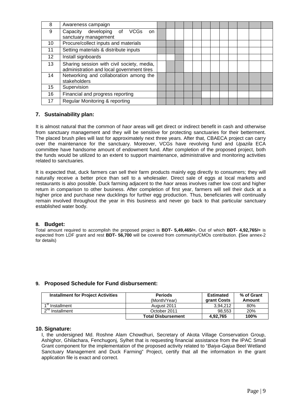| 8               | Awareness campaign                                                                      |  |  |  |  |  |  |  |
|-----------------|-----------------------------------------------------------------------------------------|--|--|--|--|--|--|--|
| 9               | Capacity developing of<br><b>VCGs</b><br><sub>on</sub><br>sanctuary management          |  |  |  |  |  |  |  |
| 10              | Procure/collect inputs and materials                                                    |  |  |  |  |  |  |  |
| 11              | Setting materials & distribute inputs                                                   |  |  |  |  |  |  |  |
| 12 <sup>2</sup> | Install signboards                                                                      |  |  |  |  |  |  |  |
| 13              | Sharing session with civil society, media,<br>administration and local government tires |  |  |  |  |  |  |  |
| 14              | Networking and collaboration among the<br>stakeholders                                  |  |  |  |  |  |  |  |
| 15              | Supervision                                                                             |  |  |  |  |  |  |  |
| 16              | Financial and progress reporting                                                        |  |  |  |  |  |  |  |
| 17              | Regular Monitoring & reporting                                                          |  |  |  |  |  |  |  |

## **7. Sustainability plan:**

It is almost natural that the common of haor areas will get direct or indirect benefit in cash and otherwise from sanctuary management and they will be sensitive for protecting sanctuaries for their betterment. The placed brush piles will last for approximately next three years. After that, CBAECA project can carry over the maintenance for the sanctuary. Moreover, VCGs have revolving fund and Upazila ECA committee have handsome amount of endowment fund. After completion of the proposed project, both the funds would be utilized to an extent to support maintenance, administrative and monitoring activities related to sanctuaries.

It is expected that, duck farmers can sell their farm products mainly egg directly to consumers; they will naturally receive a better price than sell to a wholesaler. Direct sale of eggs at local markets and restaurants is also possible. Duck farming adjacent to the haor areas involves rather low cost and higher return in comparison to other business. After completion of first year, farmers will sell their duck at a higher price and purchase new ducklings for further egg production. Thus, beneficiaries will continually remain involved throughout the year in this business and never go back to that particular sanctuary established water body.

#### **8. Budget:**

Total amount required to accomplish the proposed project is **BDT- 5,49,465/=.** Out of which **BDT- 4,92,765/=** is expected from LDF grant and rest **BDT- 56,700** will be covered from community/CMOs contribution. **(**See annex-2 for details)

## **9. Proposed Schedule for Fund disbursement:**

| <b>Installment for Project Activities</b> | <b>Periods</b><br>(Month/Year) | <b>Estimated</b><br><b>arant Costs</b> | % of Grant<br>Amount |
|-------------------------------------------|--------------------------------|----------------------------------------|----------------------|
| ∡ St<br>Installment                       | August 2011                    | 3.94.212                               | 80%                  |
| $\sim$ nd<br>Installment                  | October 2011                   | 98.553                                 | 20%                  |
|                                           | <b>Total Disbursement</b>      | 4.92.765                               | 100%                 |

#### **10. Signature:**

I, the undersigned Md. Roshne Alam Chowdhuri, Secretary of Akota Village Conservation Group, Ashighor, Ghilachara, Fenchugonj, Sylhet that is requesting financial assistance from the IPAC Small Grant component for the implementation of the proposed activity related to "Baiya-Gajua Beel Wetland Sanctuary Management and Duck Farming" Project, certify that all the information in the grant application file is exact and correct.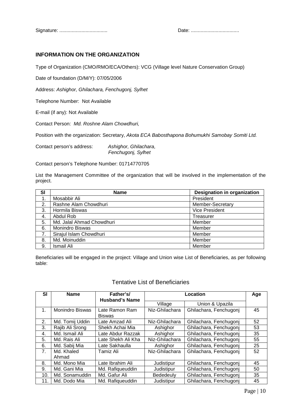Signature: ................................... Date: ...................................

# **INFORMATION ON THE ORGANIZATION**

Type of Organization (CMO/RMO/ECA/Others): VCG (Village level Nature Conservation Group)

Date of foundation (D/M/Y): 07/05/2006

Address: Ashighor, Ghilachara, Fenchugonj, Sylhet

Telephone Number: Not Available

E-mail (if any): Not Available

Contact Person: Md. Roshne Alam Chowdhuri,

Position with the organization: Secretary, Akota ECA Babosthapona Bohumukhi Samobay Somiti Ltd.

Contact person's address: Ashighor, Ghilachara, Fenchugonj, Sylhet

Contact person's Telephone Number: 01714770705

List the Management Committee of the organization that will be involved in the implementation of the project.

| SI | <b>Designation in organization</b><br><b>Name</b> |                       |  |  |
|----|---------------------------------------------------|-----------------------|--|--|
|    | Mosabbir Ali                                      | President             |  |  |
| 2. | Rashne Alam Chowdhuri                             | Member-Secretary      |  |  |
| 3. | Hormila Biswas                                    | <b>Vice President</b> |  |  |
| 4. | Abdul Rob                                         | Treasurer             |  |  |
| 5. | Md. Jalal Ahmad Chowdhuri                         | Member                |  |  |
| 6. | Monindro Biswas                                   | Member                |  |  |
| 7. | Sirajul Islam Chowdhuri                           | Member                |  |  |
| 8. | Md. Moinuddin                                     | Member                |  |  |
| 9. | Ismail Ali                                        | Member                |  |  |

Beneficiaries will be engaged in the project: Village and Union wise List of Beneficiaries, as per following table:

# Tentative List of Beneficiaries

| SI             | <b>Name</b>            | Father's/                       |                | Age                    |    |
|----------------|------------------------|---------------------------------|----------------|------------------------|----|
|                |                        | <b>Husband's Name</b>           | Village        | Union & Upazila        |    |
| 1.             | <b>Monindro Biswas</b> | Late Ramon Ram<br><b>Biswas</b> | Niz-Ghilachara | Ghilachara, Fenchugonj | 45 |
| 2.             | Md. Tomij Uddin        | Late Amzad Ali                  | Niz-Ghilachara | Ghilachara, Fenchugoni | 52 |
| 3.             | Rajib Ali Srong        | Shekh Achai Mia                 | Ashighor       | Ghilachara, Fenchugonj | 53 |
| 4.             | Md. Ismail Ali         | Late Abdur Razzak               | Ashighor       | Ghilachara, Fenchugonj | 35 |
| 5.             | Md. Rais Ali           | ∟ate Shekh Ali Kha              | Niz-Ghilachara | Ghilachara, Fenchugoni | 55 |
| 6.             | Md. Sabij Mia          | Late Sakhaulla                  | Ashighor       | Ghilachara, Fenchugonj | 25 |
| 7 <sub>1</sub> | Md. Khaled<br>Ahmad    | Tamiz Ali                       | Niz-Ghilachara | Ghilachara, Fenchugoni | 52 |
| 8.             | Md. Mono Mia           | Late Ibrahim Ali                |                |                        | 45 |
|                |                        |                                 | Judistipur     | Ghilachara, Fenchugonj |    |
| 9.             | Md. Gani Mia           | Md. Rafiqueuddin                | Judistipur     | Ghilachara, Fenchugoni | 50 |
| 10.            | Md. Sonamuddin         | Md. Gafur Ali                   | Bededeuly      | Ghilachara, Fenchugonj | 35 |
| 11.            | Md. Dodo Mia           | Md. Rafiqueuddin                | Judistipur     | Ghilachara, Fenchugoni | 45 |